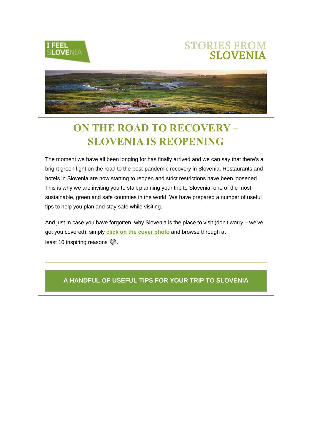

## **STORIES FROM SLOVENIA**



# **ON THE ROAD TO RECOVERY – SLOVENIA IS REOPENING**

The moment we have all been longing for has finally arrived and we can say that there's a bright green light on the road to the post-pandemic recovery in Slovenia. Restaurants and hotels in Slovenia are now starting to reopen and strict restrictions have been loosened. This is why we are inviting you to start planning your trip to Slovenia, one of the most sustainable, green and safe countries in the world. We have prepared a number of useful tips to help you plan and stay safe while visiting.

And just in case you have forgotten, why Slovenia is the place to visit (don't worry – we've got you covered): simply **[click on the cover photo](http://link.slovenia.info/ls/click?upn=Kd6StIkjKy2P23wY7AI6U1s1cdn9o5SMXrRA-2B8Ns5EQm3RVtsAzokBc-2BUuK3MiH0nGlib6nkWVmD51CuXwsQsnjDU-2F7fMeD2E6n1lpzaQT23Chr4GJGne3xAoVclqeYv-2Fs5xdq8oDsJfbqMVDoIAv2h-2BgyfbAsinnm9aXs4MPCl-2FrnU1aV1B-2Ba19ckM-2BalG1VS9SDn6xKZPZHgFuoWv4HB8hzKJrdC4SqR8aAh-2FGRx9Uc3cY-2FBxbO3iWT-2BQS7rZfXN0OPys7A61c2Z3KjjHIpPk32PY2kjk23LYuS7Bnn1OU-2FHWSjBankFvGNAj0CSnIGcTDsRBOXnwUxrvVq1U3zjnj2TuHhVNucOA0-2FzIehUSI9-2FwhNA-2FfTUz8sqagGCu2Lob__VYTDj7-2F2NW9SCsHE1NfIjp4WztggBYBXXnNdYHS69UdmZ-2BaDhT-2FZrcrRfg2OTZkn536Fbk-2BdkEG2hgJ-2FynQeSOL0PgDXvfcrP3JN-2B8uloWH-2Bp-2B3gupbRCBqr3eIQBmYMg3aoEyDgVjPPcbcMtY1eaw9fUHi6Wdw6JJ8vP08sSxw7SuAvYyHiMmo7lqPcG8cGbAv9fCiYsuhkCMTQw3eE7rC9etlNcHze7wBSFv60hqgxiASo-2Fm4-2FqKMVLNcXL6kefFw0VKFzlBPeHUwex3NpbA-3D-3D)** and browse through at least 10 inspiring reasons  $\mathcal{D}$ .

#### **A HANDFUL OF USEFUL TIPS FOR YOUR TRIP TO SLOVENIA**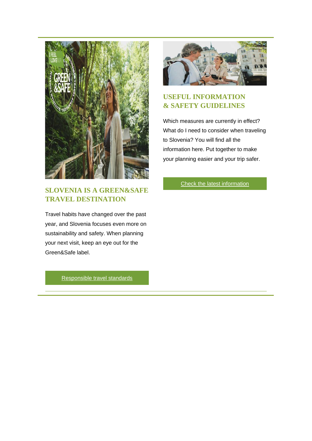

#### **SLOVENIA IS A GREEN&SAFE TRAVEL DESTINATION**

Travel habits have changed over the past year, and Slovenia focuses even more on sustainability and safety. When planning your next visit, keep an eye out for the Green&Safe label.

#### **USEFUL INFORMATION & SAFETY GUIDELINES**

Which measures are currently in effect? What do I need to consider when traveling to Slovenia? You will find all the information here. Put together to make your planning easier and your trip safer.

[Check the latest information](http://link.slovenia.info/ls/click?upn=Kd6StIkjKy2P23wY7AI6U1s1cdn9o5SMXrRA-2B8Ns5EQ8oAUdTAP8g8oG2MjnkrIkZsjF5KqgRkouBpGlAOa9-2BsnhRl2y1plQ5e-2FGl0KJEUZZpH1rzkzFD33IAdz4WCtiL6gb5W3P42kUhfzgphL0ql2SI-2FRY5vLoFEx6Q6QO2jHPczhBRtGx-2BrytY2MN3KLd7IhQtkGfor6IVSNi9XoZ5jlr4dkFlEj-2BJlAch8efR5vZu-2ButCgSxZ7H5-2Fsr34zlJvkjxs-2B4RmQ1pk5ckSV39g-2BdQTGU2CzmP8WXDaB5NZCck5PWr5SZSd9jipPV4PwRpOqE6uvVyA0CUo4uWCIUrTrvEMAD6rbg8JlvY4dPhx3EzpsSM8CT91f-2Fi4TR5l5GY5WTf6AN6ETK3kp4aOpw9Lvxvaa-2B-2BgKf3i9hD26fG7hs-3DfGK0_VYTDj7-2F2NW9SCsHE1NfIjp4WztggBYBXXnNdYHS69UdmZ-2BaDhT-2FZrcrRfg2OTZkn536Fbk-2BdkEG2hgJ-2FynQeSOL0PgDXvfcrP3JN-2B8uloWH-2Bp-2B3gupbRCBqr3eIQBmYMIi0ituiW9-2BmNmSOguFXIMmiCgCGCB1S0zikdAxSXnoE756Nked9LhhodqJPR2cwTscUGdiRe9YzrK4mg5yzZacc6ZWc2eoo8IMyWVWIttzkRqaVtNfyqWelvC63On8oWnU9jMpugaxYoOzGYm-2FFJMQ-3D-3D)

[Responsible travel standards](http://link.slovenia.info/ls/click?upn=Kd6StIkjKy2P23wY7AI6U1s1cdn9o5SMXrRA-2B8Ns5ESXDj9dGtl6nZIwuJY9C5d-2FVtJpXUwNz1XuSAYn7VrYI-2B7BsMe2aiqdfwp20tSTr1T01vN6Wzy1X4VBjPrXLWpNbAqSYHXd9Wys3ytrTx0Nm-2FicJKdExIyYg7olGVxbuiBbV-2BdTnNzGEmvGaYo7LzwiCxT3s9Zro2uSBZwJO7MjgSxrDh1AR7-2BmTTdR4LdQ212DAfWxld-2B3GTFPOfdTvdAPlMlmFhebH-2FafPhtq-2FZThFkJgpIfOQ-2B973TZGBJYJSOk5dV-2FH5IdVut3wG76KpSkIh9QfTxtLDkPzBSKitusgLqLX-2BPktyABTJjHKMEInEyOqqvePafDyosSeXlcA4MEC06hF_VYTDj7-2F2NW9SCsHE1NfIjp4WztggBYBXXnNdYHS69UdmZ-2BaDhT-2FZrcrRfg2OTZkn536Fbk-2BdkEG2hgJ-2FynQeSOL0PgDXvfcrP3JN-2B8uloWH-2Bp-2B3gupbRCBqr3eIQBmYMRdgRebIZNV7zGDNn0eTHic5NCUkpjFYjW4N5y9EKMzi44kB5AsIoV33UmAcH4AzKslKNX2F-2B-2FaME3dkOdZ-2Bv5qlrft9FjvZJr9mKMtnN3yg92WEJT-2FChgM1QtbwpCxijwL98YCEHt-2BKCX3zJs63C7Q-3D-3D)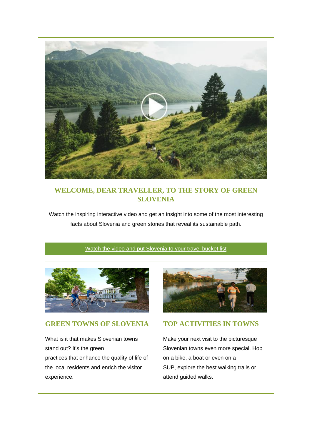

#### **WELCOME, DEAR TRAVELLER, TO THE STORY OF GREEN SLOVENIA**

Watch the inspiring interactive video and get an insight into some of the most interesting facts about Slovenia and green stories that reveal its sustainable path.

#### [Watch the video and put Slovenia to your travel bucket list](http://link.slovenia.info/ls/click?upn=Kd6StIkjKy2P23wY7AI6U1s1cdn9o5SMXrRA-2B8Ns5ETdPa8oYNue-2FOFNwdG71PBc52Q-2FPNYiTSsqtCyV6NZZ4eZ4ofZOqV7y8h-2FDHEfHky3XjiSqAVETdq6aJp0jilq3KHhOZuBBtlDkNJawBl-2Bo5hAgJAUoi0PzEjcPotzA5J26A94YFogNJ-2FslnIhScx5vsMGNZpaO3Z-2BniPWfRMci5gC-2F-2BcqToAMVYXKSoKEEf0gxpx1Dy0MfqTKtNsBQPi8PAdd0K1skcv-2F56hi03GgnI1xdn647BM-2FVQzhZw8upkjOOCfhNPWPcxnNYqBme-2BdOpy4vAuYJJOt2VVh15KewLX-2BBWRcUkEFwTDJD00R3llWI-3DyImO_VYTDj7-2F2NW9SCsHE1NfIjp4WztggBYBXXnNdYHS69UdmZ-2BaDhT-2FZrcrRfg2OTZkn536Fbk-2BdkEG2hgJ-2FynQeSOL0PgDXvfcrP3JN-2B8uloWH-2Bp-2B3gupbRCBqr3eIQBmYMCT3izuEpktXHI9lc3SdwcIuHZKzbblGB-2FqHTwpbz-2FHicQpb8-2BqUuTjbtPgwCbXwcsLmOi1aicgRmHjjM3naoXsXs4e6UxrXAq8xgmRreYhKTSeX2jG3ajnktIa5azlE83Yf2zVyqLGAW4I4-2BsxNkgQ-3D-3D)



#### **GREEN TOWNS OF SLOVENIA**

What is it that makes Slovenian towns stand out? It's the green practices that enhance the quality of life of the local residents and enrich the visitor experience.



#### **TOP ACTIVITIES IN TOWNS**

Make your next visit to the picturesque Slovenian towns even more special. Hop on a bike, a boat or even on a SUP, explore the best walking trails or attend guided walks.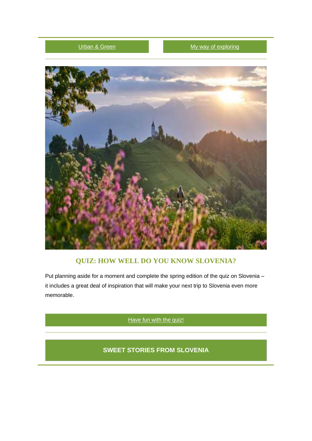#### Urban [& Green](http://link.slovenia.info/ls/click?upn=Kd6StIkjKy2P23wY7AI6U1s1cdn9o5SMXrRA-2B8Ns5ERnyyuAxx6WrvA1xjuuIcI0HjLqPD1AleV-2Fo5yI4-2FnawsRlzTBfEPydSg82cGR6IVyexMheB2hLnuYFokt9JuQ-2BkraRrUX0PLw6FPf06aRIOLVF9JNZ3X13c0wz4VoNO6mvSD1ByRA3sGAC-2BsT4kjbQYscR9KiMsg2RxnyjXUM4ztD0EfpgkuTheKKICmKb-2F1sFk6Ft3xd98nE55ceS5hCn05pSfEpzF7QFRT87FxKmJyhvyXVFlDBQvB-2FXgP-2FnkPeqfGJj8jP3WacE2hGVjxfVBsrYu9mJHwCtzW6WSAqcdZ2cADf6u5kq2ktPh1cx1gc-3DIGdH_VYTDj7-2F2NW9SCsHE1NfIjp4WztggBYBXXnNdYHS69UdmZ-2BaDhT-2FZrcrRfg2OTZkn536Fbk-2BdkEG2hgJ-2FynQeSOL0PgDXvfcrP3JN-2B8uloWH-2Bp-2B3gupbRCBqr3eIQBmYM-2FIBBI-2Bl3Y1jLXTOKQf6dPpXUur16psBBljMFBNBtUJuu6tFZdhkwo5Mm3pomZJHjwiysEXvW66OsSDQ2h-2F9sTe9kmgc9eOZSiftLajbvhORdQinWX2dXaGJWhUxOn-2Fe3JN3TygYHHemmMctgFPOStA-3D-3D) [My way of exploring](http://link.slovenia.info/ls/click?upn=Kd6StIkjKy2P23wY7AI6U1s1cdn9o5SMXrRA-2B8Ns5ER9cIkZV579q6Skls2V23XfXGWuEUm3i29tftq5EfyBMqw2scsCboOB6xPH7zZZzrnPBwFaiXyNh3N8GLtwj2j8fzLdyQP1fLBXowcKOXa3YAMQGl5lvdrByddAK4pDOeuFpEuayMFojNm7qYUv2n0ZohukODuEM-2B8GBq0q6nGtDZZYl3aTT-2BeKTVWZUFHmpANOQudGTmqt8WrYyUxrXo144969KsfskrKzUbalRgH1Qs6UtqoYwsW4H6PZM1p2WLidUcnRxjQ0rgbxlRHaS0x7tw-2B6VmOKxMWK1JCe4ALnQg-3D-3D-0Fw_VYTDj7-2F2NW9SCsHE1NfIjp4WztggBYBXXnNdYHS69UdmZ-2BaDhT-2FZrcrRfg2OTZkn536Fbk-2BdkEG2hgJ-2FynQeSOL0PgDXvfcrP3JN-2B8uloWH-2Bp-2B3gupbRCBqr3eIQBmYMM4FN427hJHwHWuqsH0hUqf5OGKrJv76n0n-2BCfXLGmn5ln3dXopsvOFXgh818yenI6JuTntTqQ5f4HmukUZeZc4bkoPKVYCQBhSB8OmKPO-2BoRNHLO4nNPytpAMi4u3LMo8sKHguvq0ueL2JmuGLJJyg-3D-3D)



#### **QUIZ: HOW WELL DO YOU KNOW SLOVENIA?**

Put planning aside for a moment and complete the spring edition of the quiz on Slovenia – it includes a great deal of inspiration that will make your next trip to Slovenia even more memorable.

[Have fun with the quiz!](http://link.slovenia.info/ls/click?upn=Kd6StIkjKy2P23wY7AI6U1s1cdn9o5SMXrRA-2B8Ns5ETB64Ai6Pz2P4o8-2Blvy0z7d8eIwyuWVYfbZUxYvAJU1U9gwFXC3cUbQ6EuDXaLszL3k86IYYwlTfmJ1A4MS-2BX9IjjsFtjNrK12aj5bws-2B5Gu-2BXV52gDVAcN35tIaNYfIoEVzycvt9GTw-2B92-2BEC9sXCA7Z3guHejPT83-2BgJVOoOwQlX0o7yYZjrAwslWcUtJxUVMpcGCCyCixEpgTt5WVq2FiXhekqlnoB8SIrZGZYxUcyaQtwTctJODjZ34QW28A-2FbHpLMhttaMsC9ru6wvFKQBPxChucIVQg9SJyh5gQUesiSkSDZTdkma5LSeoItUdaI-3Dx7r__VYTDj7-2F2NW9SCsHE1NfIjp4WztggBYBXXnNdYHS69UdmZ-2BaDhT-2FZrcrRfg2OTZkn536Fbk-2BdkEG2hgJ-2FynQeSOL0PgDXvfcrP3JN-2B8uloWH-2Bp-2B3gupbRCBqr3eIQBmYM0mlkz2YVXPlimq-2F4qnbYdQWYGyjF7YDAXtCbbTs7pC5fvKQK8yWd-2BRbcl1ma0UNU-2B46TbBT15HiE8n8-2Bn-2FqLK-2BdjWDxKU1-2BoZo0w6BpOqIOWc6tsCnKIIwcEoPjMoNBr-2FVBRYMyTx071jtaCNh24Sg-3D-3D)

**SWEET STORIES FROM SLOVENIA**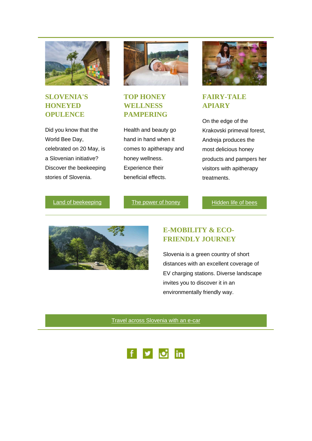

#### **SLOVENIA'S HONEYED OPULENCE**

Did you know that the World Bee Day, celebrated on 20 May, is a Slovenian initiative? Discover the beekeeping stories of Slovenia.



#### **TOP HONEY WELLNESS PAMPERING**

Health and beauty go hand in hand when it comes to apitherapy and honey wellness. Experience their beneficial effects.



#### **FAIRY-TALE APIARY**

On the edge of the Krakovski primeval forest, Andreja produces the most delicious honey products and pampers her visitors with apitherapy treatments.

[Land of beekeeping](http://link.slovenia.info/ls/click?upn=Kd6StIkjKy2P23wY7AI6U1s1cdn9o5SMXrRA-2B8Ns5EQhZgh3-2BSC8fvEdaZ-2FxfltZxVmBmKk5s8wIBt2rApCGwcL1DZfzuRfIMF7-2FbpJXx61XibCSzQYFKlU7LpdOPdQyEAHa5FANyEAnwH9uCakvqwrlIuca43DiJinwNU76WQQaarmMoZ42WDteu4pKpctUW1w34yjqR14h9RQqIyHe0uL5XfkaM5xibFppdC9vNX8Xp-2F-2FUy4xEAXLzPRQJibi2NADN8fWPJal1bnel8Mm5rpkwb5a2nBk0UzG2lVl38fehdK8FSdjaqlPAIL8MnyW-2FETBBwGYE2maS8n-2Bgo-2FNPcGE0i3IYOKDL1Keu9J2jXrc-3Dpq6N_VYTDj7-2F2NW9SCsHE1NfIjp4WztggBYBXXnNdYHS69UdmZ-2BaDhT-2FZrcrRfg2OTZkn536Fbk-2BdkEG2hgJ-2FynQeSOL0PgDXvfcrP3JN-2B8uloWH-2Bp-2B3gupbRCBqr3eIQBmYMYVkqI1HMntYClw1PT32nrREFIU4yP6dvUgfng4hqmgtHxQyKok4BVugKjXzV2QhB-2B42zZGcjqtyQFqASy2WPCpnCV0R1uvrrF0cC9Rn7Ww5GwGS-2FnzxD0xqV8E6L-2F6f7LAV6wrR28-2BxAE5qh6YXflg-3D-3D)

[The power of honey](http://link.slovenia.info/ls/click?upn=Kd6StIkjKy2P23wY7AI6U1s1cdn9o5SMXrRA-2B8Ns5ESEdJyJUWc9QhVP8JbxHpnIQ9iraAJW4g-2BnE0Vr3EYHcJd5Z-2Bh800agpOW0pnaaR6ltBzc-2BTz0wYRoK1m6SmD2hrj433-2FlV81C5-2Fq2tbiJKjzG37Ur2FLGuDCW7MniW6a0GyK4pNUE-2BgR6sAd8O9ZNamvO3zGIIS2G4oQUdGmlF8LjEe9hgUb-2Bc1d6jhLwuqxGkhAmdCzzvBSUpYaqWZK1hIGEH-2BhgQUOrLE3r82AifHyDnvOrdRVMdKDy9jw7vN4m3Hqmkkrp2xuqdqJLXHAEeum9E7OaGovVX-2F-2F6LdLnwKG3dhmTO3-2FwD5YFv3mA-2FXITOgMeOCj7PaWA0NqaMLCdPohkT_VYTDj7-2F2NW9SCsHE1NfIjp4WztggBYBXXnNdYHS69UdmZ-2BaDhT-2FZrcrRfg2OTZkn536Fbk-2BdkEG2hgJ-2FynQeSOL0PgDXvfcrP3JN-2B8uloWH-2Bp-2B3gupbRCBqr3eIQBmYMnpkNsxc-2FWe0DTFuyLJ2eKO1AS0YmS0W86Cq7wGlFDJ6B-2FxRgfXC-2BSkgD-2BaznUxJBUTQCqBohEjo3XPthx3hx4dCpu8FOedcxXDJYUGZERFSImAD50LuNiF4sUvEgII5JRH-2Bwfq12KBJTwR0iA7JN7Q-3D-3D)

[Hidden life of bees](http://link.slovenia.info/ls/click?upn=Kd6StIkjKy2P23wY7AI6U5kIjWiLWUPDsb0jy0WM-2Bavi01o6vXntF5sJY0HADR9WhWaYEoEGY5TxLxQKqHlYLKGT-2BYFyqIc88BQPwzGfRpWkVBYASvOLNX5RsG0apt0qEP00ZwfK0oCUc97QCPr1GZ1pkZXgXqf3rABx4cdcBHbaiPoth19PsloxN-2BiVrA-2BaOZYjOPk80XqOGSqYuzzh-2F3JML3GDjJi83XTlen5AExU4bzEoHEILeBMgWFcPq-2F59owpQptlt1Blj8haeidliIft2s6ZncLTYzyvXPIXpSDnByyCZvnY0GdAgyzPLKm-2BioypZn-2FsnXAoW0fMt2TYRDqx-2Fg7Ec30bKi7x5jX5fDVE4zD-2FHFzMrMYrDoKlj0O4YwnF03igYjPFa5TZn63M9u4acPxTspsIOuGrSxFwQOvI-3DrAi7_VYTDj7-2F2NW9SCsHE1NfIjp4WztggBYBXXnNdYHS69UdmZ-2BaDhT-2FZrcrRfg2OTZkn536Fbk-2BdkEG2hgJ-2FynQeSOL0PgDXvfcrP3JN-2B8uloWH-2Bp-2B3gupbRCBqr3eIQBmYMFK41-2BLaO67dw3Z3u6n5157nqV2J0dvLLJqIkd-2Fk4yKRjK1oRWfATSm1S7PQ3gxQgZVy5aCP0G95ece8tSBLOF4pUbeS20x01NNaw7G3xxsskyRPxXpeqxG7iQKAofKq2MFXCZXZp8cZVTzuvRkSuRA-3D-3D)



### **E-MOBILITY & ECO-FRIENDLY JOURNEY**

Slovenia is a green country of short distances with an excellent coverage of EV charging stations. Diverse landscape invites you to discover it in an environmentally friendly way.

[Travel across Slovenia with an e-car](http://link.slovenia.info/ls/click?upn=Kd6StIkjKy2P23wY7AI6U1s1cdn9o5SMXrRA-2B8Ns5ESjPI8ScnDlMgu9mISQN0z6DTZ85djC3pWMd8dCCxvjPKFcZ-2FWULmkkI7kNyAVR2ODjO3TQZBw7pIenPC9qbNzgmKaYNXr4Xe2yRhUlBCUQH5ss5hRnxMdT6OM6bYUxa3WOxlMFBKlbaXcxw5ZIoXScQeCc9Hvsd-2BJQwdlNzK1SVuVp6-2BFg5aMKYe9O1yraa1lhWxFDh4zF9-2BS7jYF2D9hkWGzZEdR7hQzJqC46QgKyLytGXKnihKHAuB-2FDERJp-2FUs4-2FLskdTCZbWyH8fsnHvGpZpdicSzWlrK0D-2Fb110GY3o8himi9fxQnnw6F9UnlZf37wiRUHI1cqT20I-2B5GZ9-2BoaPih_VYTDj7-2F2NW9SCsHE1NfIjp4WztggBYBXXnNdYHS69UdmZ-2BaDhT-2FZrcrRfg2OTZkn536Fbk-2BdkEG2hgJ-2FynQeSOL0PgDXvfcrP3JN-2B8uloWH-2Bp-2B3gupbRCBqr3eIQBmYMg9-2F32XGHR9VnmZcBzDsTdh4-2F077INdFq7xEKvBC7-2FlvcyDzcr5tx-2FRgkrgAEiSauDNG5FmNzgBhc1Q5M90UgTOwCLjxJeEw5FmgxktvcGxEO4LoTfBnBrW5pSABHE8-2Fx0hUu1EOnQ6HWYb06Y1ELPw-3D-3D)